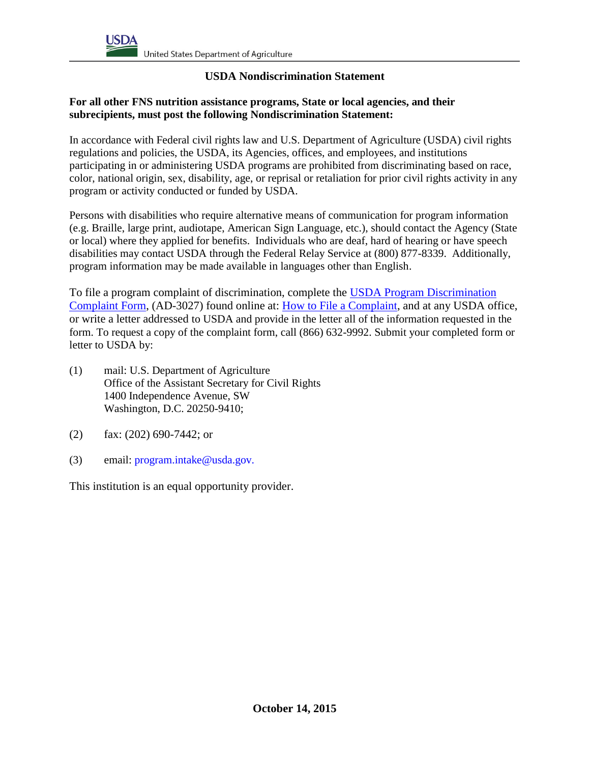## **USDA Nondiscrimination Statement**

## **For all other FNS nutrition assistance programs, State or local agencies, and their subrecipients, must post the following Nondiscrimination Statement:**

In accordance with Federal civil rights law and U.S. Department of Agriculture (USDA) civil rights regulations and policies, the USDA, its Agencies, offices, and employees, and institutions participating in or administering USDA programs are prohibited from discriminating based on race, color, national origin, sex, disability, age, or reprisal or retaliation for prior civil rights activity in any program or activity conducted or funded by USDA.

Persons with disabilities who require alternative means of communication for program information (e.g. Braille, large print, audiotape, American Sign Language, etc.), should contact the Agency (State or local) where they applied for benefits. Individuals who are deaf, hard of hearing or have speech disabilities may contact USDA through the Federal Relay Service at (800) 877-8339. Additionally, program information may be made available in languages other than English.

To file a program complaint of discrimination, complete the [USDA Program Discrimination](http://www.ocio.usda.gov/sites/default/files/docs/2012/Complain_combined_6_8_12.pdf)  [Complaint Form,](http://www.ocio.usda.gov/sites/default/files/docs/2012/Complain_combined_6_8_12.pdf) (AD-3027) found online at: **How to File a Complaint**, and at any USDA office, or write a letter addressed to USDA and provide in the letter all of the information requested in the form. To request a copy of the complaint form, call (866) 632-9992. Submit your completed form or letter to USDA by:

- (1) mail: U.S. Department of Agriculture Office of the Assistant Secretary for Civil Rights 1400 Independence Avenue, SW Washington, D.C. 20250-9410;
- (2) fax: (202) 690-7442; or
- (3) email: program.intake@usda.gov.

This institution is an equal opportunity provider.